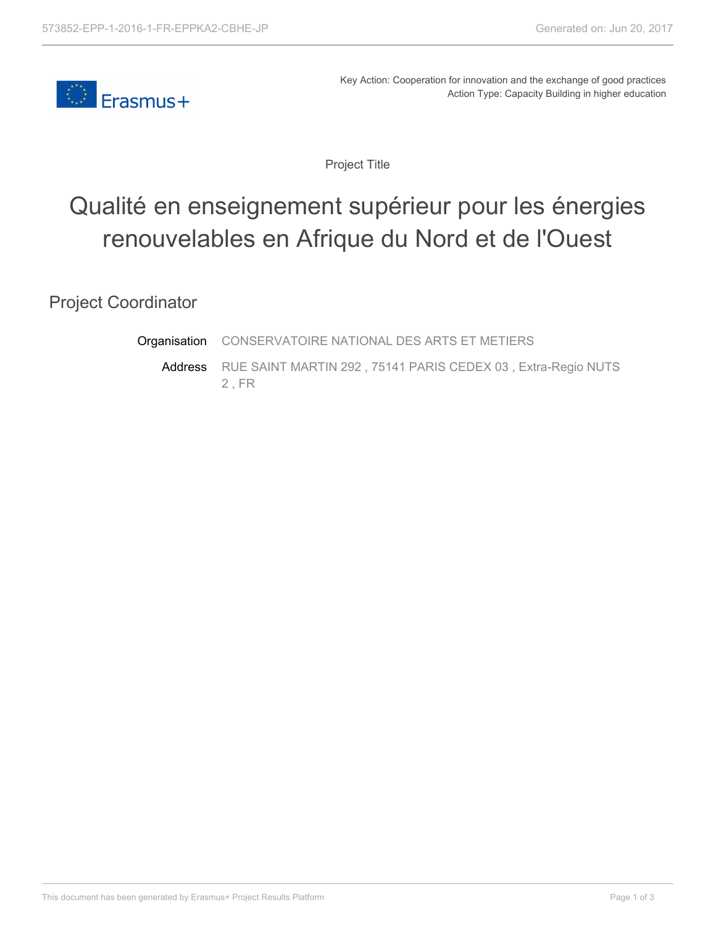

Key Action: Cooperation for innovation and the exchange of good practices Action Type: Capacity Building in higher education

Project Title

## Qualité en enseignement supérieur pour les énergies renouvelables en Afrique du Nord et de l'Ouest

Project Coordinator

**Organisation** CONSERVATOIRE NATIONAL DES ARTS ET METIERS

Address RUE SAINT MARTIN 292 , 75141 PARIS CEDEX 03 , Extra-Regio NUTS 2 , FR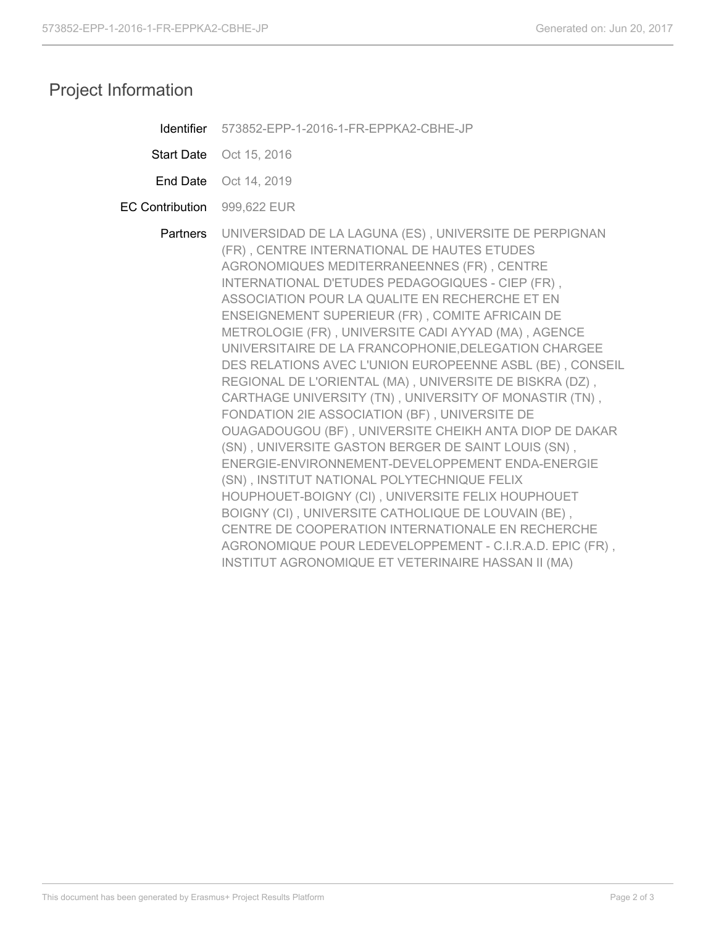## Project Information

| Identifier             | 573852-EPP-1-2016-1-FR-EPPKA2-CBHE-JP                                                                                                                                                                                                                                                                                                                                                                                                                                                                                                                                                                                                                                                                                                                                                                                                                                                                                                                                                                                                                                                                                                                                |
|------------------------|----------------------------------------------------------------------------------------------------------------------------------------------------------------------------------------------------------------------------------------------------------------------------------------------------------------------------------------------------------------------------------------------------------------------------------------------------------------------------------------------------------------------------------------------------------------------------------------------------------------------------------------------------------------------------------------------------------------------------------------------------------------------------------------------------------------------------------------------------------------------------------------------------------------------------------------------------------------------------------------------------------------------------------------------------------------------------------------------------------------------------------------------------------------------|
| <b>Start Date</b>      | Oct 15, 2016                                                                                                                                                                                                                                                                                                                                                                                                                                                                                                                                                                                                                                                                                                                                                                                                                                                                                                                                                                                                                                                                                                                                                         |
| End Date               | Oct 14, 2019                                                                                                                                                                                                                                                                                                                                                                                                                                                                                                                                                                                                                                                                                                                                                                                                                                                                                                                                                                                                                                                                                                                                                         |
| <b>EC Contribution</b> | 999,622 EUR                                                                                                                                                                                                                                                                                                                                                                                                                                                                                                                                                                                                                                                                                                                                                                                                                                                                                                                                                                                                                                                                                                                                                          |
| Partners               | UNIVERSIDAD DE LA LAGUNA (ES), UNIVERSITE DE PERPIGNAN<br>(FR), CENTRE INTERNATIONAL DE HAUTES ETUDES<br>AGRONOMIQUES MEDITERRANEENNES (FR), CENTRE<br>INTERNATIONAL D'ETUDES PEDAGOGIQUES - CIEP (FR),<br>ASSOCIATION POUR LA QUALITE EN RECHERCHE ET EN<br>ENSEIGNEMENT SUPERIEUR (FR), COMITE AFRICAIN DE<br>METROLOGIE (FR), UNIVERSITE CADI AYYAD (MA), AGENCE<br>UNIVERSITAIRE DE LA FRANCOPHONIE, DELEGATION CHARGEE<br>DES RELATIONS AVEC L'UNION EUROPEENNE ASBL (BE), CONSEIL<br>REGIONAL DE L'ORIENTAL (MA), UNIVERSITE DE BISKRA (DZ),<br>CARTHAGE UNIVERSITY (TN), UNIVERSITY OF MONASTIR (TN),<br>FONDATION 2IE ASSOCIATION (BF), UNIVERSITE DE<br>OUAGADOUGOU (BF), UNIVERSITE CHEIKH ANTA DIOP DE DAKAR<br>(SN), UNIVERSITE GASTON BERGER DE SAINT LOUIS (SN),<br>ENERGIE-ENVIRONNEMENT-DEVELOPPEMENT ENDA-ENERGIE<br>(SN), INSTITUT NATIONAL POLYTECHNIQUE FELIX<br>HOUPHOUET-BOIGNY (CI), UNIVERSITE FELIX HOUPHOUET<br>BOIGNY (CI), UNIVERSITE CATHOLIQUE DE LOUVAIN (BE),<br>CENTRE DE COOPERATION INTERNATIONALE EN RECHERCHE<br>AGRONOMIQUE POUR LEDEVELOPPEMENT - C.I.R.A.D. EPIC (FR),<br>INSTITUT AGRONOMIQUE ET VETERINAIRE HASSAN II (MA) |